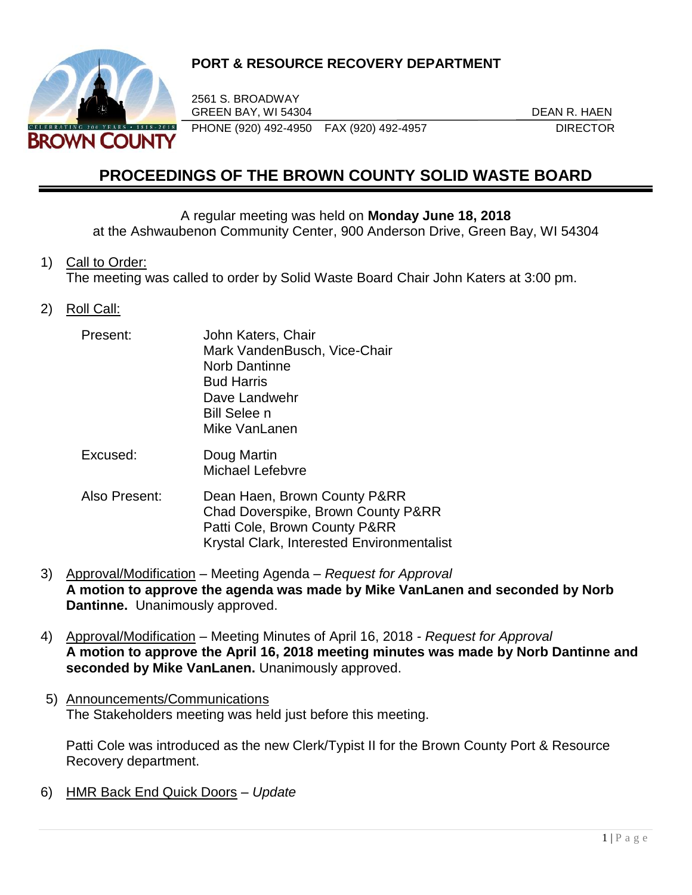

## **PORT & RESOURCE RECOVERY DEPARTMENT**

2561 S. BROADWAY GREEN BAY, WI 54304 DEAN R. HAEN PHONE (920) 492-4950 FAX (920) 492-4957 DIRECTOR

# **PROCEEDINGS OF THE BROWN COUNTY SOLID WASTE BOARD**

#### A regular meeting was held on **Monday June 18, 2018**

at the Ashwaubenon Community Center, 900 Anderson Drive, Green Bay, WI 54304

#### 1) Call to Order:

The meeting was called to order by Solid Waste Board Chair John Katers at 3:00 pm.

#### 2) Roll Call:

| Present:      | John Katers, Chair<br>Mark VandenBusch, Vice-Chair<br><b>Norb Dantinne</b><br><b>Bud Harris</b><br>Dave Landwehr<br><b>Bill Selee n</b><br>Mike VanLanen |
|---------------|----------------------------------------------------------------------------------------------------------------------------------------------------------|
| Excused:      | Doug Martin<br>Michael Lefebvre                                                                                                                          |
| Also Present: | Dean Haen, Brown County P&RR<br>Chad Doverspike, Brown County P&RR<br>Patti Cole, Brown County P&RR<br>Krystal Clark, Interested Environmentalist        |

- 3) Approval/Modification Meeting Agenda *Request for Approval* **A motion to approve the agenda was made by Mike VanLanen and seconded by Norb Dantinne.** Unanimously approved.
- 4) Approval/Modification Meeting Minutes of April 16, 2018 *- Request for Approval* **A motion to approve the April 16, 2018 meeting minutes was made by Norb Dantinne and seconded by Mike VanLanen.** Unanimously approved.
- 5) Announcements/Communications The Stakeholders meeting was held just before this meeting.

Patti Cole was introduced as the new Clerk/Typist II for the Brown County Port & Resource Recovery department.

6) HMR Back End Quick Doors – *Update*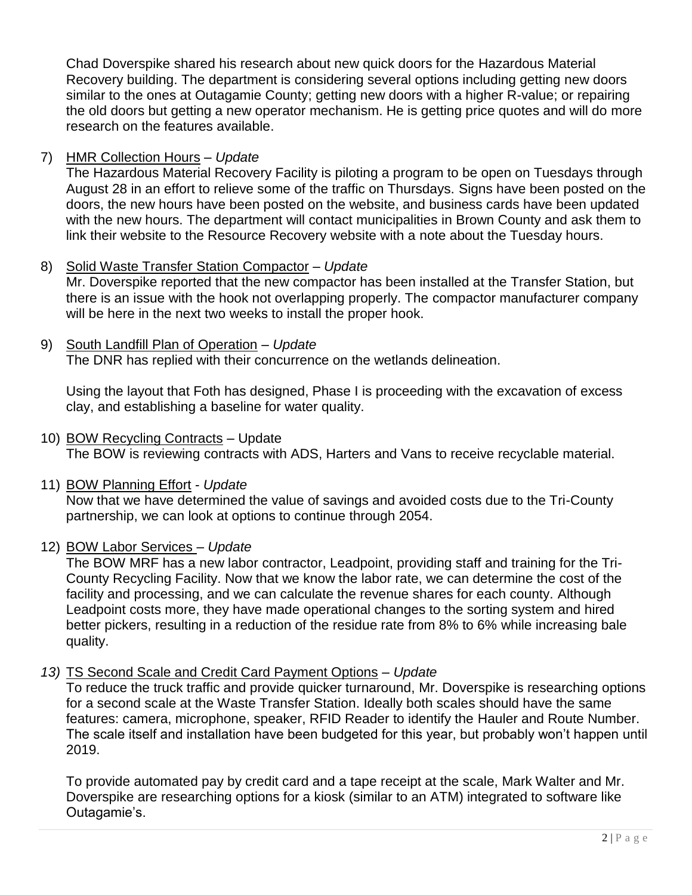Chad Doverspike shared his research about new quick doors for the Hazardous Material Recovery building. The department is considering several options including getting new doors similar to the ones at Outagamie County; getting new doors with a higher R-value; or repairing the old doors but getting a new operator mechanism. He is getting price quotes and will do more research on the features available.

## 7) HMR Collection Hours – *Update*

The Hazardous Material Recovery Facility is piloting a program to be open on Tuesdays through August 28 in an effort to relieve some of the traffic on Thursdays. Signs have been posted on the doors, the new hours have been posted on the website, and business cards have been updated with the new hours. The department will contact municipalities in Brown County and ask them to link their website to the Resource Recovery website with a note about the Tuesday hours.

#### 8) Solid Waste Transfer Station Compactor – *Update*

Mr. Doverspike reported that the new compactor has been installed at the Transfer Station, but there is an issue with the hook not overlapping properly. The compactor manufacturer company will be here in the next two weeks to install the proper hook.

#### 9) South Landfill Plan of Operation – *Update*

The DNR has replied with their concurrence on the wetlands delineation.

Using the layout that Foth has designed, Phase I is proceeding with the excavation of excess clay, and establishing a baseline for water quality.

#### 10) BOW Recycling Contracts – Update

The BOW is reviewing contracts with ADS, Harters and Vans to receive recyclable material.

#### 11) BOW Planning Effort - *Update*

Now that we have determined the value of savings and avoided costs due to the Tri-County partnership, we can look at options to continue through 2054.

#### 12) BOW Labor Services – *Update*

The BOW MRF has a new labor contractor, Leadpoint, providing staff and training for the Tri-County Recycling Facility. Now that we know the labor rate, we can determine the cost of the facility and processing, and we can calculate the revenue shares for each county. Although Leadpoint costs more, they have made operational changes to the sorting system and hired better pickers, resulting in a reduction of the residue rate from 8% to 6% while increasing bale quality.

#### *13)* TS Second Scale and Credit Card Payment Options – *Update*

To reduce the truck traffic and provide quicker turnaround, Mr. Doverspike is researching options for a second scale at the Waste Transfer Station. Ideally both scales should have the same features: camera, microphone, speaker, RFID Reader to identify the Hauler and Route Number. The scale itself and installation have been budgeted for this year, but probably won't happen until 2019.

To provide automated pay by credit card and a tape receipt at the scale, Mark Walter and Mr. Doverspike are researching options for a kiosk (similar to an ATM) integrated to software like Outagamie's.